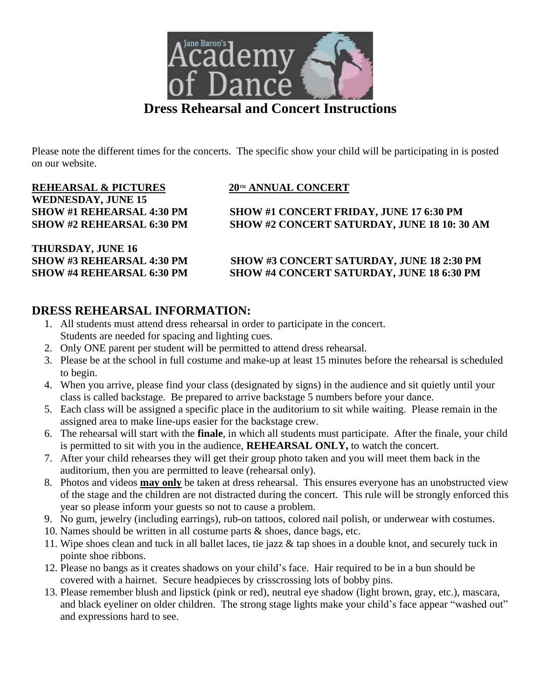

# **Dress Rehearsal and Concert Instructions**

Please note the different times for the concerts. The specific show your child will be participating in is posted on our website.

# **REHEARSAL & PICTURES 20TH ANNUAL CONCERT WEDNESDAY, JUNE 15**

**SHOW #1 REHEARSAL 4:30 PM SHOW #1 CONCERT FRIDAY, JUNE 17 6:30 PM SHOW #2 REHEARSAL 6:30 PM SHOW #2 CONCERT SATURDAY, JUNE 18 10: 30 AM**

**THURSDAY, JUNE 16**

### **SHOW #3 REHEARSAL 4:30 PM SHOW #3 CONCERT SATURDAY, JUNE 18 2:30 PM SHOW #4 REHEARSAL 6:30 PM SHOW #4 CONCERT SATURDAY, JUNE 18 6:30 PM**

## **DRESS REHEARSAL INFORMATION:**

- 1. All students must attend dress rehearsal in order to participate in the concert. Students are needed for spacing and lighting cues.
- 2. Only ONE parent per student will be permitted to attend dress rehearsal.
- 3. Please be at the school in full costume and make-up at least 15 minutes before the rehearsal is scheduled to begin.
- 4. When you arrive, please find your class (designated by signs) in the audience and sit quietly until your class is called backstage. Be prepared to arrive backstage 5 numbers before your dance.
- 5. Each class will be assigned a specific place in the auditorium to sit while waiting. Please remain in the assigned area to make line-ups easier for the backstage crew.
- 6. The rehearsal will start with the **finale**, in which all students must participate. After the finale, your child is permitted to sit with you in the audience, **REHEARSAL ONLY,** to watch the concert.
- 7. After your child rehearses they will get their group photo taken and you will meet them back in the auditorium, then you are permitted to leave (rehearsal only).
- 8. Photos and videos **may only** be taken at dress rehearsal. This ensures everyone has an unobstructed view of the stage and the children are not distracted during the concert. This rule will be strongly enforced this year so please inform your guests so not to cause a problem.
- 9. No gum, jewelry (including earrings), rub-on tattoos, colored nail polish, or underwear with costumes.
- 10. Names should be written in all costume parts & shoes, dance bags, etc.
- 11. Wipe shoes clean and tuck in all ballet laces, tie jazz & tap shoes in a double knot, and securely tuck in pointe shoe ribbons.
- 12. Please no bangs as it creates shadows on your child's face. Hair required to be in a bun should be covered with a hairnet. Secure headpieces by crisscrossing lots of bobby pins.
- 13. Please remember blush and lipstick (pink or red), neutral eye shadow (light brown, gray, etc.), mascara, and black eyeliner on older children. The strong stage lights make your child's face appear "washed out" and expressions hard to see.